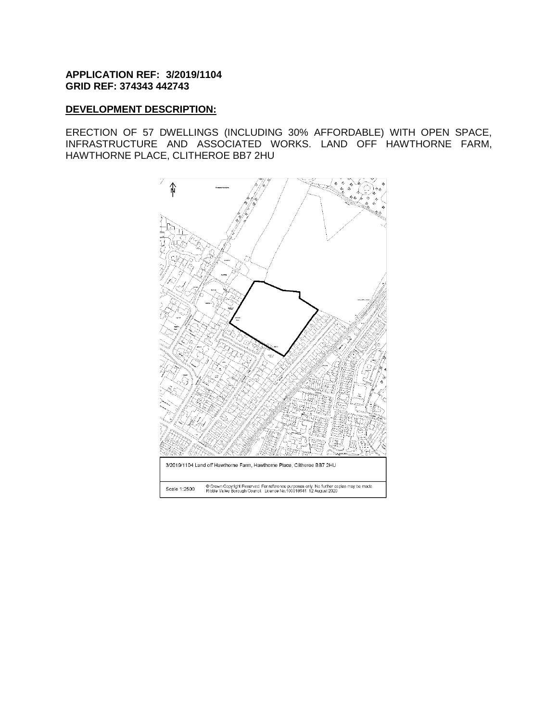### **APPLICATION REF: 3/2019/1104 GRID REF: 374343 442743**

### **DEVELOPMENT DESCRIPTION:**

ERECTION OF 57 DWELLINGS (INCLUDING 30% AFFORDABLE) WITH OPEN SPACE, INFRASTRUCTURE AND ASSOCIATED WORKS. LAND OFF HAWTHORNE FARM, HAWTHORNE PLACE, CLITHEROE BB7 2HU

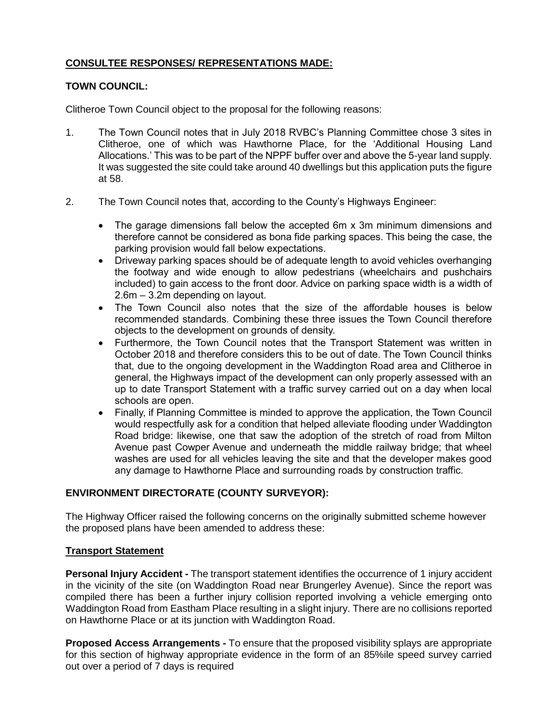# **CONSULTEE RESPONSES/ REPRESENTATIONS MADE:**

### **TOWN COUNCIL:**

Clitheroe Town Council object to the proposal for the following reasons:

- 1. The Town Council notes that in July 2018 RVBC's Planning Committee chose 3 sites in Clitheroe, one of which was Hawthorne Place, for the 'Additional Housing Land Allocations.' This was to be part of the NPPF buffer over and above the 5-year land supply. It was suggested the site could take around 40 dwellings but this application puts the figure at 58.
- 2. The Town Council notes that, according to the County's Highways Engineer:
	- The garage dimensions fall below the accepted 6m x 3m minimum dimensions and therefore cannot be considered as bona fide parking spaces. This being the case, the parking provision would fall below expectations.
	- Driveway parking spaces should be of adequate length to avoid vehicles overhanging the footway and wide enough to allow pedestrians (wheelchairs and pushchairs included) to gain access to the front door. Advice on parking space width is a width of 2.6m – 3.2m depending on layout.
	- The Town Council also notes that the size of the affordable houses is below recommended standards. Combining these three issues the Town Council therefore objects to the development on grounds of density.
	- Furthermore, the Town Council notes that the Transport Statement was written in October 2018 and therefore considers this to be out of date. The Town Council thinks that, due to the ongoing development in the Waddington Road area and Clitheroe in general, the Highways impact of the development can only properly assessed with an up to date Transport Statement with a traffic survey carried out on a day when local schools are open.
	- Finally, if Planning Committee is minded to approve the application, the Town Council would respectfully ask for a condition that helped alleviate flooding under Waddington Road bridge: likewise, one that saw the adoption of the stretch of road from Milton Avenue past Cowper Avenue and underneath the middle railway bridge; that wheel washes are used for all vehicles leaving the site and that the developer makes good any damage to Hawthorne Place and surrounding roads by construction traffic.

# **ENVIRONMENT DIRECTORATE (COUNTY SURVEYOR):**

The Highway Officer raised the following concerns on the originally submitted scheme however the proposed plans have been amended to address these:

# **Transport Statement**

**Personal Injury Accident -** The transport statement identifies the occurrence of 1 injury accident in the vicinity of the site (on Waddington Road near Brungerley Avenue). Since the report was compiled there has been a further injury collision reported involving a vehicle emerging onto Waddington Road from Eastham Place resulting in a slight injury. There are no collisions reported on Hawthorne Place or at its junction with Waddington Road.

**Proposed Access Arrangements -** To ensure that the proposed visibility splays are appropriate for this section of highway appropriate evidence in the form of an 85%ile speed survey carried out over a period of 7 days is required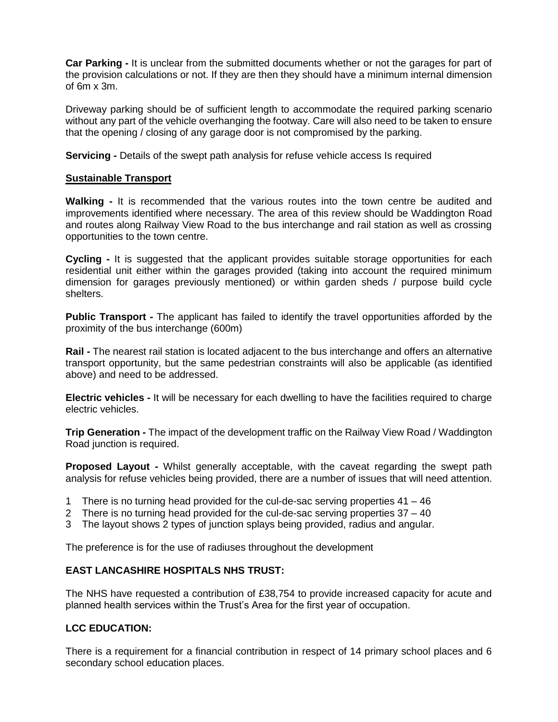**Car Parking -** It is unclear from the submitted documents whether or not the garages for part of the provision calculations or not. If they are then they should have a minimum internal dimension of 6m x 3m.

Driveway parking should be of sufficient length to accommodate the required parking scenario without any part of the vehicle overhanging the footway. Care will also need to be taken to ensure that the opening / closing of any garage door is not compromised by the parking.

**Servicing -** Details of the swept path analysis for refuse vehicle access Is required

### **Sustainable Transport**

**Walking -** It is recommended that the various routes into the town centre be audited and improvements identified where necessary. The area of this review should be Waddington Road and routes along Railway View Road to the bus interchange and rail station as well as crossing opportunities to the town centre.

**Cycling -** It is suggested that the applicant provides suitable storage opportunities for each residential unit either within the garages provided (taking into account the required minimum dimension for garages previously mentioned) or within garden sheds / purpose build cycle shelters.

**Public Transport -** The applicant has failed to identify the travel opportunities afforded by the proximity of the bus interchange (600m)

**Rail -** The nearest rail station is located adjacent to the bus interchange and offers an alternative transport opportunity, but the same pedestrian constraints will also be applicable (as identified above) and need to be addressed.

**Electric vehicles -** It will be necessary for each dwelling to have the facilities required to charge electric vehicles.

**Trip Generation -** The impact of the development traffic on the Railway View Road / Waddington Road junction is required.

**Proposed Layout -** Whilst generally acceptable, with the caveat regarding the swept path analysis for refuse vehicles being provided, there are a number of issues that will need attention.

- 1 There is no turning head provided for the cul-de-sac serving properties 41 46
- 2 There is no turning head provided for the cul-de-sac serving properties 37 40
- 3 The layout shows 2 types of junction splays being provided, radius and angular.

The preference is for the use of radiuses throughout the development

# **EAST LANCASHIRE HOSPITALS NHS TRUST:**

The NHS have requested a contribution of £38,754 to provide increased capacity for acute and planned health services within the Trust's Area for the first year of occupation.

# **LCC EDUCATION:**

There is a requirement for a financial contribution in respect of 14 primary school places and 6 secondary school education places.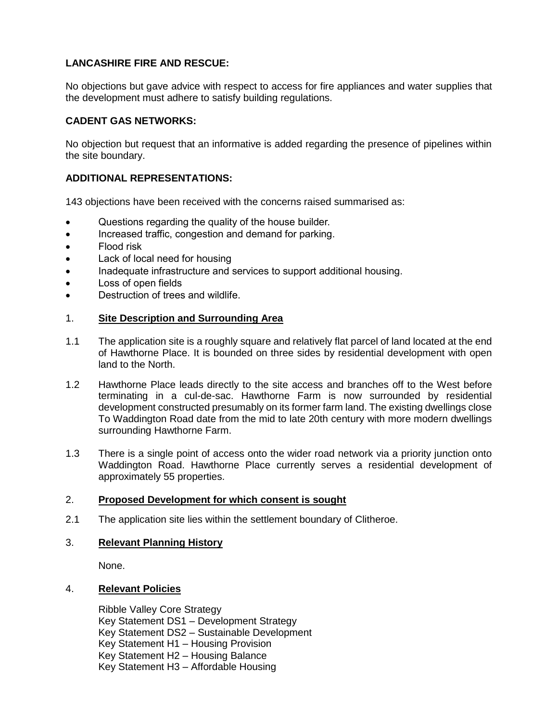# **LANCASHIRE FIRE AND RESCUE:**

No objections but gave advice with respect to access for fire appliances and water supplies that the development must adhere to satisfy building regulations.

# **CADENT GAS NETWORKS:**

No objection but request that an informative is added regarding the presence of pipelines within the site boundary.

# **ADDITIONAL REPRESENTATIONS:**

143 objections have been received with the concerns raised summarised as:

- Questions regarding the quality of the house builder.
- Increased traffic, congestion and demand for parking.
- Flood risk
- Lack of local need for housing
- Inadequate infrastructure and services to support additional housing.
- Loss of open fields
- Destruction of trees and wildlife.

### 1. **Site Description and Surrounding Area**

- 1.1 The application site is a roughly square and relatively flat parcel of land located at the end of Hawthorne Place. It is bounded on three sides by residential development with open land to the North.
- 1.2 Hawthorne Place leads directly to the site access and branches off to the West before terminating in a cul-de-sac. Hawthorne Farm is now surrounded by residential development constructed presumably on its former farm land. The existing dwellings close To Waddington Road date from the mid to late 20th century with more modern dwellings surrounding Hawthorne Farm.
- 1.3 There is a single point of access onto the wider road network via a priority junction onto Waddington Road. Hawthorne Place currently serves a residential development of approximately 55 properties.

#### 2. **Proposed Development for which consent is sought**

2.1 The application site lies within the settlement boundary of Clitheroe.

#### 3. **Relevant Planning History**

None.

#### 4. **Relevant Policies**

Ribble Valley Core Strategy Key Statement DS1 – Development Strategy Key Statement DS2 – Sustainable Development Key Statement H1 – Housing Provision Key Statement H2 – Housing Balance Key Statement H3 – Affordable Housing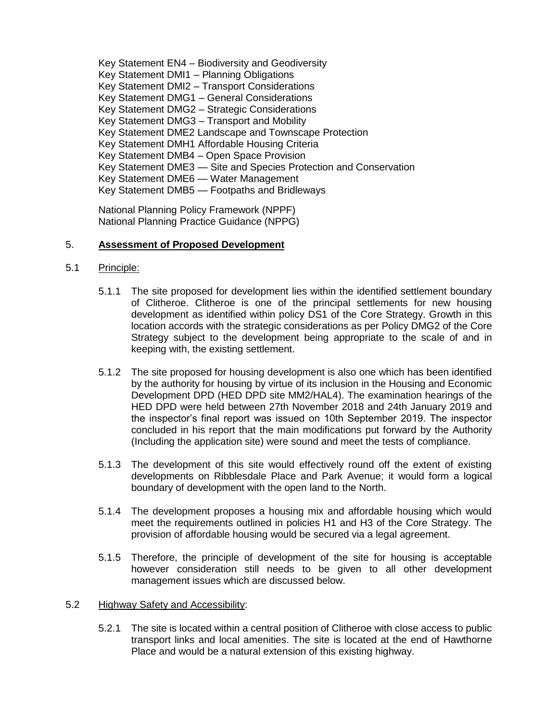Key Statement EN4 – Biodiversity and Geodiversity Key Statement DMI1 – Planning Obligations Key Statement DMI2 – Transport Considerations Key Statement DMG1 – General Considerations Key Statement DMG2 – Strategic Considerations Key Statement DMG3 – Transport and Mobility Key Statement DME2 Landscape and Townscape Protection Key Statement DMH1 Affordable Housing Criteria Key Statement DMB4 – Open Space Provision Key Statement DME3 — Site and Species Protection and Conservation Key Statement DME6 — Water Management Key Statement DMB5 — Footpaths and Bridleways

National Planning Policy Framework (NPPF) National Planning Practice Guidance (NPPG)

# 5. **Assessment of Proposed Development**

- 5.1 Principle:
	- 5.1.1 The site proposed for development lies within the identified settlement boundary of Clitheroe. Clitheroe is one of the principal settlements for new housing development as identified within policy DS1 of the Core Strategy. Growth in this location accords with the strategic considerations as per Policy DMG2 of the Core Strategy subject to the development being appropriate to the scale of and in keeping with, the existing settlement.
	- 5.1.2 The site proposed for housing development is also one which has been identified by the authority for housing by virtue of its inclusion in the Housing and Economic Development DPD (HED DPD site MM2/HAL4). The examination hearings of the HED DPD were held between 27th November 2018 and 24th January 2019 and the inspector's final report was issued on 10th September 2019. The inspector concluded in his report that the main modifications put forward by the Authority (Including the application site) were sound and meet the tests of compliance.
	- 5.1.3 The development of this site would effectively round off the extent of existing developments on Ribblesdale Place and Park Avenue; it would form a logical boundary of development with the open land to the North.
	- 5.1.4 The development proposes a housing mix and affordable housing which would meet the requirements outlined in policies H1 and H3 of the Core Strategy. The provision of affordable housing would be secured via a legal agreement.
	- 5.1.5 Therefore, the principle of development of the site for housing is acceptable however consideration still needs to be given to all other development management issues which are discussed below.

#### 5.2 Highway Safety and Accessibility:

5.2.1 The site is located within a central position of Clitheroe with close access to public transport links and local amenities. The site is located at the end of Hawthorne Place and would be a natural extension of this existing highway.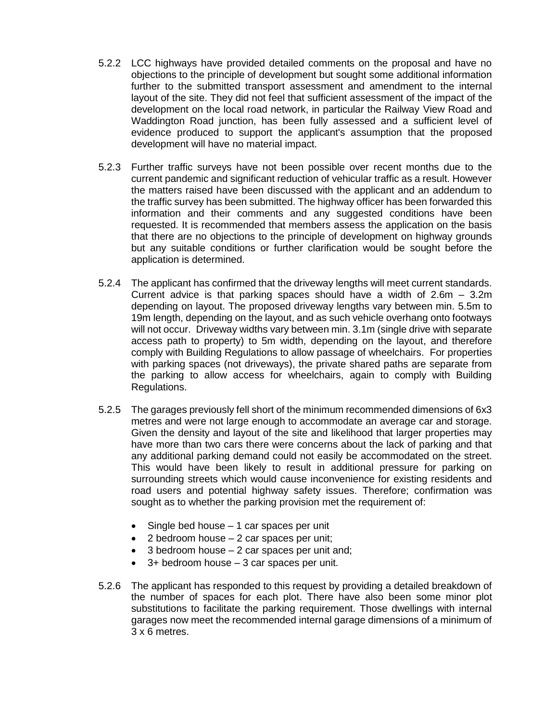- 5.2.2 LCC highways have provided detailed comments on the proposal and have no objections to the principle of development but sought some additional information further to the submitted transport assessment and amendment to the internal layout of the site. They did not feel that sufficient assessment of the impact of the development on the local road network, in particular the Railway View Road and Waddington Road junction, has been fully assessed and a sufficient level of evidence produced to support the applicant's assumption that the proposed development will have no material impact.
- 5.2.3 Further traffic surveys have not been possible over recent months due to the current pandemic and significant reduction of vehicular traffic as a result. However the matters raised have been discussed with the applicant and an addendum to the traffic survey has been submitted. The highway officer has been forwarded this information and their comments and any suggested conditions have been requested. It is recommended that members assess the application on the basis that there are no objections to the principle of development on highway grounds but any suitable conditions or further clarification would be sought before the application is determined.
- 5.2.4 The applicant has confirmed that the driveway lengths will meet current standards. Current advice is that parking spaces should have a width of 2.6m – 3.2m depending on layout. The proposed driveway lengths vary between min. 5.5m to 19m length, depending on the layout, and as such vehicle overhang onto footways will not occur. Driveway widths vary between min. 3.1m (single drive with separate access path to property) to 5m width, depending on the layout, and therefore comply with Building Regulations to allow passage of wheelchairs. For properties with parking spaces (not driveways), the private shared paths are separate from the parking to allow access for wheelchairs, again to comply with Building Regulations.
- 5.2.5 The garages previously fell short of the minimum recommended dimensions of 6x3 metres and were not large enough to accommodate an average car and storage. Given the density and layout of the site and likelihood that larger properties may have more than two cars there were concerns about the lack of parking and that any additional parking demand could not easily be accommodated on the street. This would have been likely to result in additional pressure for parking on surrounding streets which would cause inconvenience for existing residents and road users and potential highway safety issues. Therefore; confirmation was sought as to whether the parking provision met the requirement of:
	- $\bullet$  Single bed house  $-1$  car spaces per unit
	- $\bullet$  2 bedroom house  $-2$  car spaces per unit;
	- $\bullet$  3 bedroom house  $-2$  car spaces per unit and;
	- $\bullet$  3+ bedroom house  $-3$  car spaces per unit.
- 5.2.6 The applicant has responded to this request by providing a detailed breakdown of the number of spaces for each plot. There have also been some minor plot substitutions to facilitate the parking requirement. Those dwellings with internal garages now meet the recommended internal garage dimensions of a minimum of 3 x 6 metres.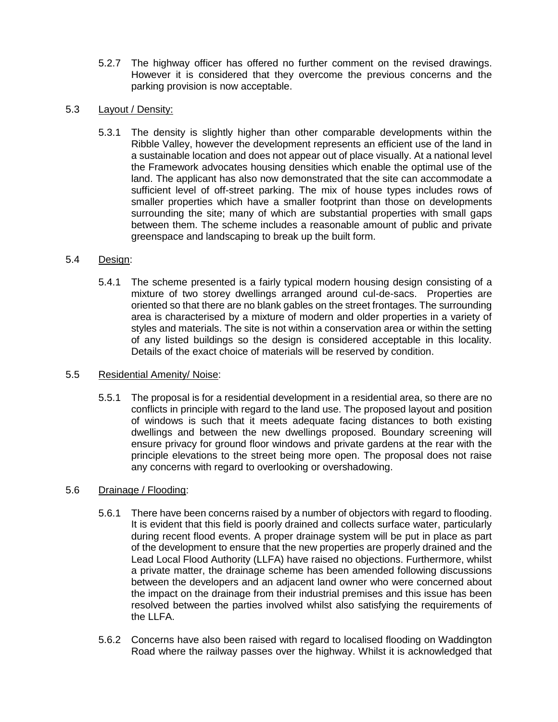5.2.7 The highway officer has offered no further comment on the revised drawings. However it is considered that they overcome the previous concerns and the parking provision is now acceptable.

# 5.3 Layout / Density:

5.3.1 The density is slightly higher than other comparable developments within the Ribble Valley, however the development represents an efficient use of the land in a sustainable location and does not appear out of place visually. At a national level the Framework advocates housing densities which enable the optimal use of the land. The applicant has also now demonstrated that the site can accommodate a sufficient level of off-street parking. The mix of house types includes rows of smaller properties which have a smaller footprint than those on developments surrounding the site; many of which are substantial properties with small gaps between them. The scheme includes a reasonable amount of public and private greenspace and landscaping to break up the built form.

# 5.4 Design:

5.4.1 The scheme presented is a fairly typical modern housing design consisting of a mixture of two storey dwellings arranged around cul-de-sacs. Properties are oriented so that there are no blank gables on the street frontages. The surrounding area is characterised by a mixture of modern and older properties in a variety of styles and materials. The site is not within a conservation area or within the setting of any listed buildings so the design is considered acceptable in this locality. Details of the exact choice of materials will be reserved by condition.

#### 5.5 Residential Amenity/ Noise:

5.5.1 The proposal is for a residential development in a residential area, so there are no conflicts in principle with regard to the land use. The proposed layout and position of windows is such that it meets adequate facing distances to both existing dwellings and between the new dwellings proposed. Boundary screening will ensure privacy for ground floor windows and private gardens at the rear with the principle elevations to the street being more open. The proposal does not raise any concerns with regard to overlooking or overshadowing.

# 5.6 Drainage / Flooding:

- 5.6.1 There have been concerns raised by a number of objectors with regard to flooding. It is evident that this field is poorly drained and collects surface water, particularly during recent flood events. A proper drainage system will be put in place as part of the development to ensure that the new properties are properly drained and the Lead Local Flood Authority (LLFA) have raised no objections. Furthermore, whilst a private matter, the drainage scheme has been amended following discussions between the developers and an adjacent land owner who were concerned about the impact on the drainage from their industrial premises and this issue has been resolved between the parties involved whilst also satisfying the requirements of the LLFA.
- 5.6.2 Concerns have also been raised with regard to localised flooding on Waddington Road where the railway passes over the highway. Whilst it is acknowledged that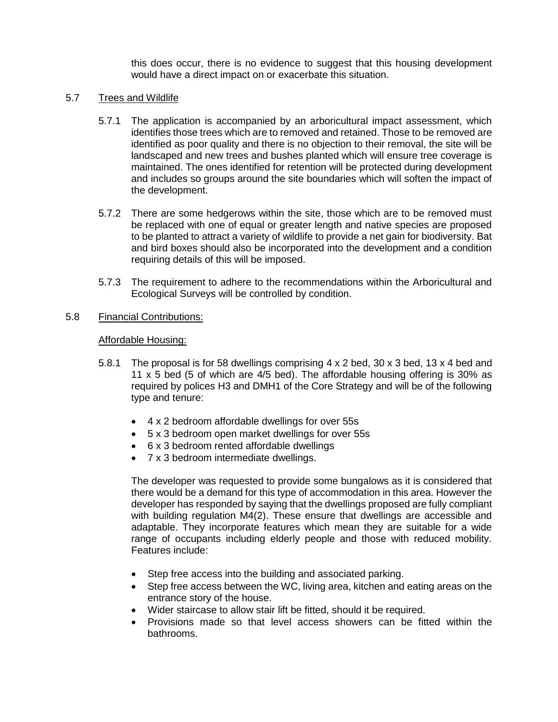this does occur, there is no evidence to suggest that this housing development would have a direct impact on or exacerbate this situation.

### 5.7 Trees and Wildlife

- 5.7.1 The application is accompanied by an arboricultural impact assessment, which identifies those trees which are to removed and retained. Those to be removed are identified as poor quality and there is no objection to their removal, the site will be landscaped and new trees and bushes planted which will ensure tree coverage is maintained. The ones identified for retention will be protected during development and includes so groups around the site boundaries which will soften the impact of the development.
- 5.7.2 There are some hedgerows within the site, those which are to be removed must be replaced with one of equal or greater length and native species are proposed to be planted to attract a variety of wildlife to provide a net gain for biodiversity. Bat and bird boxes should also be incorporated into the development and a condition requiring details of this will be imposed.
- 5.7.3 The requirement to adhere to the recommendations within the Arboricultural and Ecological Surveys will be controlled by condition.
- 5.8 Financial Contributions:

### Affordable Housing:

- 5.8.1 The proposal is for 58 dwellings comprising 4 x 2 bed, 30 x 3 bed, 13 x 4 bed and 11 x 5 bed (5 of which are 4/5 bed). The affordable housing offering is 30% as required by polices H3 and DMH1 of the Core Strategy and will be of the following type and tenure:
	- 4 x 2 bedroom affordable dwellings for over 55s
	- 5 x 3 bedroom open market dwellings for over 55s
	- 6 x 3 bedroom rented affordable dwellings
	- 7 x 3 bedroom intermediate dwellings.

The developer was requested to provide some bungalows as it is considered that there would be a demand for this type of accommodation in this area. However the developer has responded by saying that the dwellings proposed are fully compliant with building regulation M4(2). These ensure that dwellings are accessible and adaptable. They incorporate features which mean they are suitable for a wide range of occupants including elderly people and those with reduced mobility. Features include:

- Step free access into the building and associated parking.
- Step free access between the WC, living area, kitchen and eating areas on the entrance story of the house.
- Wider staircase to allow stair lift be fitted, should it be required.
- Provisions made so that level access showers can be fitted within the bathrooms.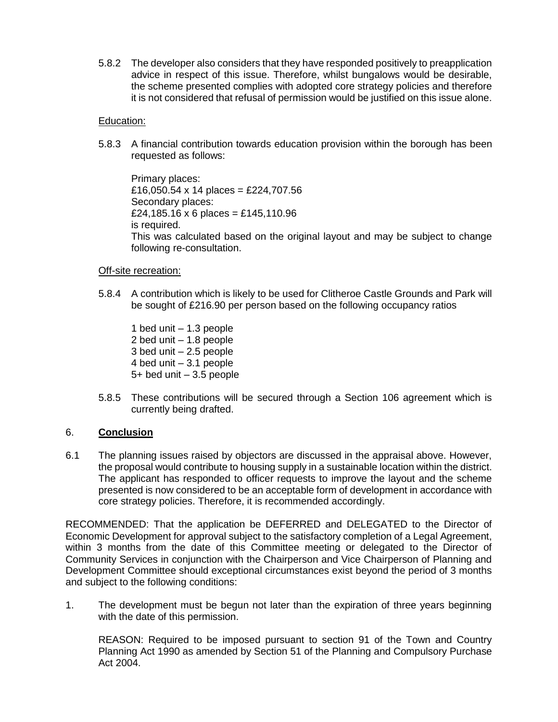5.8.2 The developer also considers that they have responded positively to preapplication advice in respect of this issue. Therefore, whilst bungalows would be desirable, the scheme presented complies with adopted core strategy policies and therefore it is not considered that refusal of permission would be justified on this issue alone.

### Education:

5.8.3 A financial contribution towards education provision within the borough has been requested as follows:

Primary places: £16,050.54 x 14 places = £224,707.56 Secondary places: £24,185.16 x 6 places = £145,110.96 is required. This was calculated based on the original layout and may be subject to change following re-consultation.

### Off-site recreation:

5.8.4 A contribution which is likely to be used for Clitheroe Castle Grounds and Park will be sought of £216.90 per person based on the following occupancy ratios

1 bed unit – 1.3 people 2 bed unit – 1.8 people 3 bed unit – 2.5 people 4 bed unit – 3.1 people 5+ bed unit – 3.5 people

5.8.5 These contributions will be secured through a Section 106 agreement which is currently being drafted.

# 6. **Conclusion**

6.1 The planning issues raised by objectors are discussed in the appraisal above. However, the proposal would contribute to housing supply in a sustainable location within the district. The applicant has responded to officer requests to improve the layout and the scheme presented is now considered to be an acceptable form of development in accordance with core strategy policies. Therefore, it is recommended accordingly.

RECOMMENDED: That the application be DEFERRED and DELEGATED to the Director of Economic Development for approval subject to the satisfactory completion of a Legal Agreement, within 3 months from the date of this Committee meeting or delegated to the Director of Community Services in conjunction with the Chairperson and Vice Chairperson of Planning and Development Committee should exceptional circumstances exist beyond the period of 3 months and subject to the following conditions:

1. The development must be begun not later than the expiration of three years beginning with the date of this permission.

REASON: Required to be imposed pursuant to section 91 of the Town and Country Planning Act 1990 as amended by Section 51 of the Planning and Compulsory Purchase Act 2004.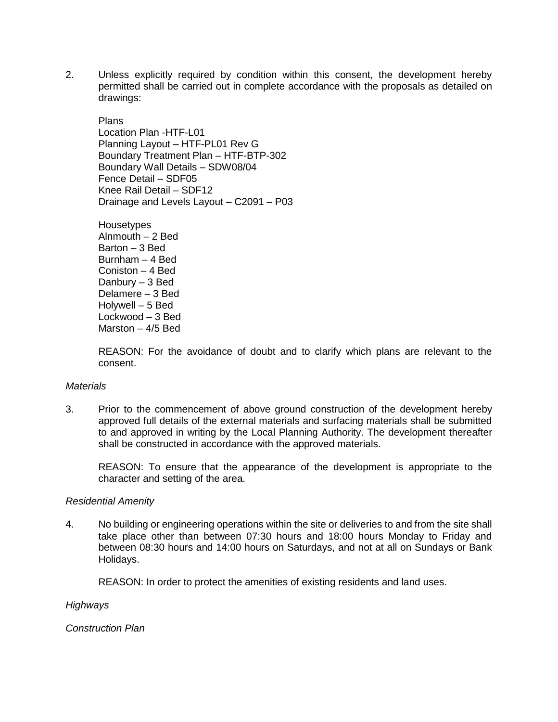2. Unless explicitly required by condition within this consent, the development hereby permitted shall be carried out in complete accordance with the proposals as detailed on drawings:

Plans Location Plan -HTF-L01 Planning Layout – HTF-PL01 Rev G Boundary Treatment Plan – HTF-BTP-302 Boundary Wall Details – SDW08/04 Fence Detail – SDF05 Knee Rail Detail – SDF12 Drainage and Levels Layout – C2091 – P03

**Housetypes** Alnmouth – 2 Bed Barton – 3 Bed Burnham – 4 Bed Coniston – 4 Bed Danbury – 3 Bed Delamere – 3 Bed Holywell – 5 Bed Lockwood – 3 Bed Marston – 4/5 Bed

REASON: For the avoidance of doubt and to clarify which plans are relevant to the consent.

#### *Materials*

3. Prior to the commencement of above ground construction of the development hereby approved full details of the external materials and surfacing materials shall be submitted to and approved in writing by the Local Planning Authority. The development thereafter shall be constructed in accordance with the approved materials.

REASON: To ensure that the appearance of the development is appropriate to the character and setting of the area.

#### *Residential Amenity*

4. No building or engineering operations within the site or deliveries to and from the site shall take place other than between 07:30 hours and 18:00 hours Monday to Friday and between 08:30 hours and 14:00 hours on Saturdays, and not at all on Sundays or Bank Holidays.

REASON: In order to protect the amenities of existing residents and land uses.

*Highways* 

*Construction Plan*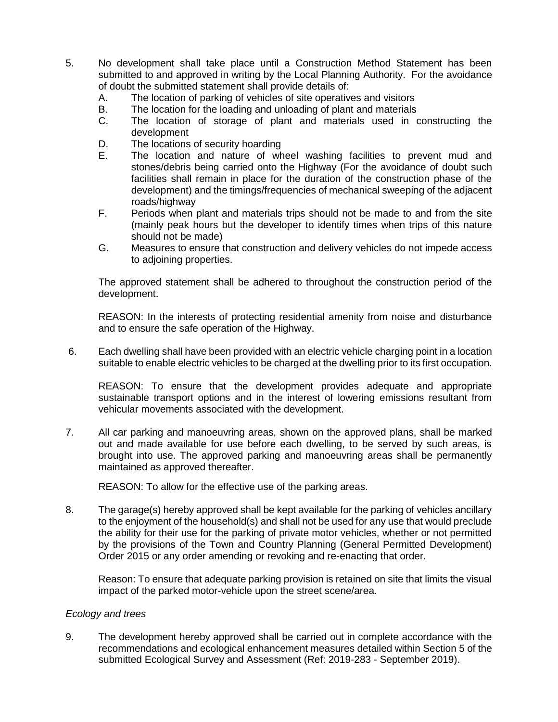- 5. No development shall take place until a Construction Method Statement has been submitted to and approved in writing by the Local Planning Authority. For the avoidance of doubt the submitted statement shall provide details of:
	- A. The location of parking of vehicles of site operatives and visitors
	- B. The location for the loading and unloading of plant and materials
	- C. The location of storage of plant and materials used in constructing the development
	- D. The locations of security hoarding
	- E. The location and nature of wheel washing facilities to prevent mud and stones/debris being carried onto the Highway (For the avoidance of doubt such facilities shall remain in place for the duration of the construction phase of the development) and the timings/frequencies of mechanical sweeping of the adjacent roads/highway
	- F. Periods when plant and materials trips should not be made to and from the site (mainly peak hours but the developer to identify times when trips of this nature should not be made)
	- G. Measures to ensure that construction and delivery vehicles do not impede access to adjoining properties.

The approved statement shall be adhered to throughout the construction period of the development.

REASON: In the interests of protecting residential amenity from noise and disturbance and to ensure the safe operation of the Highway.

6. Each dwelling shall have been provided with an electric vehicle charging point in a location suitable to enable electric vehicles to be charged at the dwelling prior to its first occupation.

REASON: To ensure that the development provides adequate and appropriate sustainable transport options and in the interest of lowering emissions resultant from vehicular movements associated with the development.

7. All car parking and manoeuvring areas, shown on the approved plans, shall be marked out and made available for use before each dwelling, to be served by such areas, is brought into use. The approved parking and manoeuvring areas shall be permanently maintained as approved thereafter.

REASON: To allow for the effective use of the parking areas.

8. The garage(s) hereby approved shall be kept available for the parking of vehicles ancillary to the enjoyment of the household(s) and shall not be used for any use that would preclude the ability for their use for the parking of private motor vehicles, whether or not permitted by the provisions of the Town and Country Planning (General Permitted Development) Order 2015 or any order amending or revoking and re-enacting that order.

Reason: To ensure that adequate parking provision is retained on site that limits the visual impact of the parked motor-vehicle upon the street scene/area.

#### *Ecology and trees*

9. The development hereby approved shall be carried out in complete accordance with the recommendations and ecological enhancement measures detailed within Section 5 of the submitted Ecological Survey and Assessment (Ref: 2019-283 - September 2019).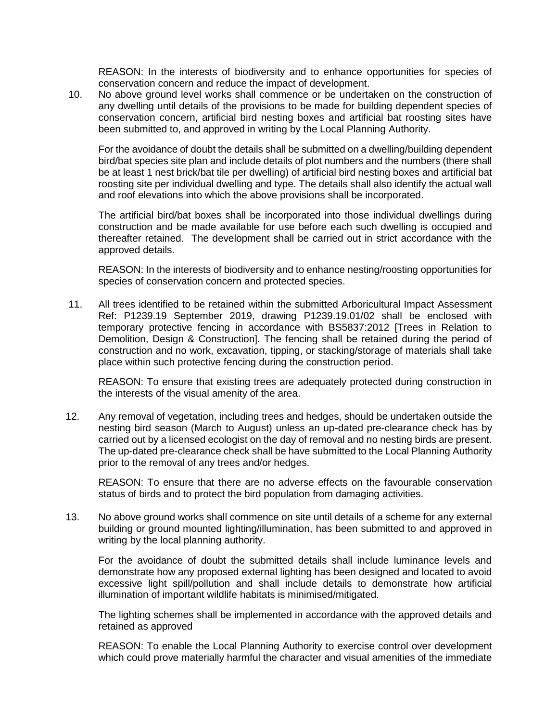REASON: In the interests of biodiversity and to enhance opportunities for species of conservation concern and reduce the impact of development.

10. No above ground level works shall commence or be undertaken on the construction of any dwelling until details of the provisions to be made for building dependent species of conservation concern, artificial bird nesting boxes and artificial bat roosting sites have been submitted to, and approved in writing by the Local Planning Authority.

For the avoidance of doubt the details shall be submitted on a dwelling/building dependent bird/bat species site plan and include details of plot numbers and the numbers (there shall be at least 1 nest brick/bat tile per dwelling) of artificial bird nesting boxes and artificial bat roosting site per individual dwelling and type. The details shall also identify the actual wall and roof elevations into which the above provisions shall be incorporated.

The artificial bird/bat boxes shall be incorporated into those individual dwellings during construction and be made available for use before each such dwelling is occupied and thereafter retained. The development shall be carried out in strict accordance with the approved details.

REASON: In the interests of biodiversity and to enhance nesting/roosting opportunities for species of conservation concern and protected species.

11. All trees identified to be retained within the submitted Arboricultural Impact Assessment Ref: P1239.19 September 2019, drawing P1239.19.01/02 shall be enclosed with temporary protective fencing in accordance with BS5837:2012 [Trees in Relation to Demolition, Design & Construction]. The fencing shall be retained during the period of construction and no work, excavation, tipping, or stacking/storage of materials shall take place within such protective fencing during the construction period.

REASON: To ensure that existing trees are adequately protected during construction in the interests of the visual amenity of the area.

12. Any removal of vegetation, including trees and hedges, should be undertaken outside the nesting bird season (March to August) unless an up-dated pre-clearance check has by carried out by a licensed ecologist on the day of removal and no nesting birds are present. The up-dated pre-clearance check shall be have submitted to the Local Planning Authority prior to the removal of any trees and/or hedges.

REASON: To ensure that there are no adverse effects on the favourable conservation status of birds and to protect the bird population from damaging activities.

13. No above ground works shall commence on site until details of a scheme for any external building or ground mounted lighting/illumination, has been submitted to and approved in writing by the local planning authority.

For the avoidance of doubt the submitted details shall include luminance levels and demonstrate how any proposed external lighting has been designed and located to avoid excessive light spill/pollution and shall include details to demonstrate how artificial illumination of important wildlife habitats is minimised/mitigated.

The lighting schemes shall be implemented in accordance with the approved details and retained as approved

REASON: To enable the Local Planning Authority to exercise control over development which could prove materially harmful the character and visual amenities of the immediate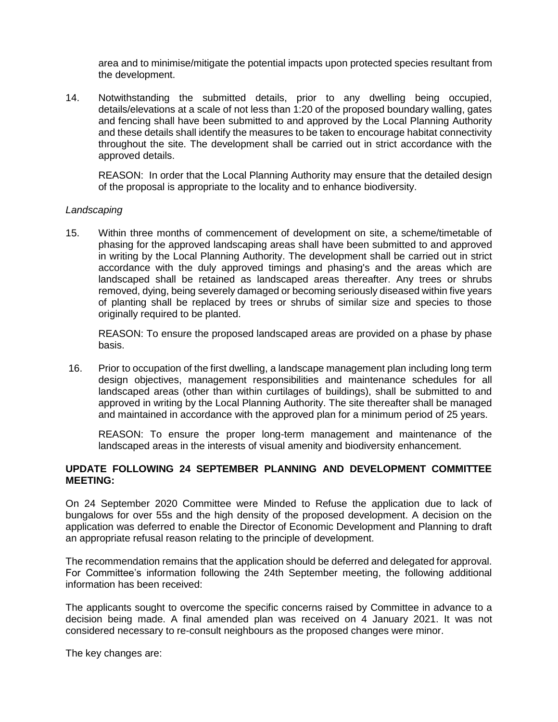area and to minimise/mitigate the potential impacts upon protected species resultant from the development.

14. Notwithstanding the submitted details, prior to any dwelling being occupied, details/elevations at a scale of not less than 1:20 of the proposed boundary walling, gates and fencing shall have been submitted to and approved by the Local Planning Authority and these details shall identify the measures to be taken to encourage habitat connectivity throughout the site. The development shall be carried out in strict accordance with the approved details.

REASON: In order that the Local Planning Authority may ensure that the detailed design of the proposal is appropriate to the locality and to enhance biodiversity.

#### *Landscaping*

15. Within three months of commencement of development on site, a scheme/timetable of phasing for the approved landscaping areas shall have been submitted to and approved in writing by the Local Planning Authority. The development shall be carried out in strict accordance with the duly approved timings and phasing's and the areas which are landscaped shall be retained as landscaped areas thereafter. Any trees or shrubs removed, dying, being severely damaged or becoming seriously diseased within five years of planting shall be replaced by trees or shrubs of similar size and species to those originally required to be planted.

REASON: To ensure the proposed landscaped areas are provided on a phase by phase basis.

16. Prior to occupation of the first dwelling, a landscape management plan including long term design objectives, management responsibilities and maintenance schedules for all landscaped areas (other than within curtilages of buildings), shall be submitted to and approved in writing by the Local Planning Authority. The site thereafter shall be managed and maintained in accordance with the approved plan for a minimum period of 25 years.

REASON: To ensure the proper long-term management and maintenance of the landscaped areas in the interests of visual amenity and biodiversity enhancement.

### **UPDATE FOLLOWING 24 SEPTEMBER PLANNING AND DEVELOPMENT COMMITTEE MEETING:**

On 24 September 2020 Committee were Minded to Refuse the application due to lack of bungalows for over 55s and the high density of the proposed development. A decision on the application was deferred to enable the Director of Economic Development and Planning to draft an appropriate refusal reason relating to the principle of development.

The recommendation remains that the application should be deferred and delegated for approval. For Committee's information following the 24th September meeting, the following additional information has been received:

The applicants sought to overcome the specific concerns raised by Committee in advance to a decision being made. A final amended plan was received on 4 January 2021. It was not considered necessary to re-consult neighbours as the proposed changes were minor.

The key changes are: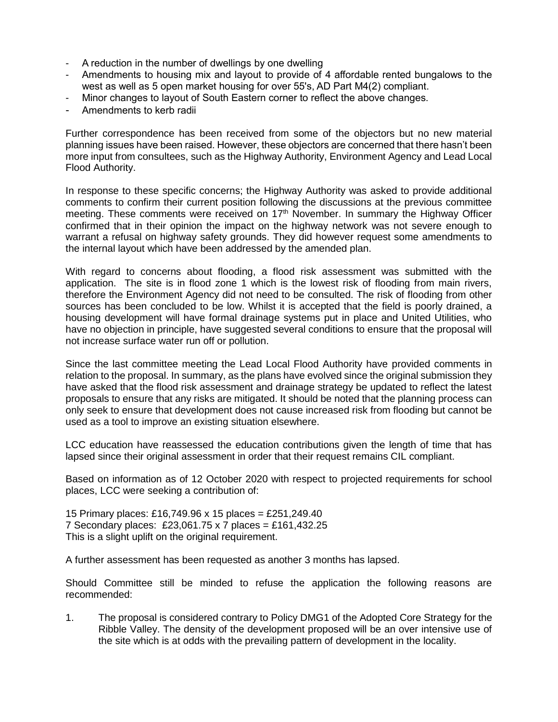- A reduction in the number of dwellings by one dwelling
- Amendments to housing mix and layout to provide of 4 affordable rented bungalows to the west as well as 5 open market housing for over 55's, AD Part M4(2) compliant.
- Minor changes to layout of South Eastern corner to reflect the above changes.
- Amendments to kerb radii

Further correspondence has been received from some of the objectors but no new material planning issues have been raised. However, these objectors are concerned that there hasn't been more input from consultees, such as the Highway Authority, Environment Agency and Lead Local Flood Authority.

In response to these specific concerns; the Highway Authority was asked to provide additional comments to confirm their current position following the discussions at the previous committee meeting. These comments were received on 17<sup>th</sup> November. In summary the Highway Officer confirmed that in their opinion the impact on the highway network was not severe enough to warrant a refusal on highway safety grounds. They did however request some amendments to the internal layout which have been addressed by the amended plan.

With regard to concerns about flooding, a flood risk assessment was submitted with the application. The site is in flood zone 1 which is the lowest risk of flooding from main rivers, therefore the Environment Agency did not need to be consulted. The risk of flooding from other sources has been concluded to be low. Whilst it is accepted that the field is poorly drained, a housing development will have formal drainage systems put in place and United Utilities, who have no objection in principle, have suggested several conditions to ensure that the proposal will not increase surface water run off or pollution.

Since the last committee meeting the Lead Local Flood Authority have provided comments in relation to the proposal. In summary, as the plans have evolved since the original submission they have asked that the flood risk assessment and drainage strategy be updated to reflect the latest proposals to ensure that any risks are mitigated. It should be noted that the planning process can only seek to ensure that development does not cause increased risk from flooding but cannot be used as a tool to improve an existing situation elsewhere.

LCC education have reassessed the education contributions given the length of time that has lapsed since their original assessment in order that their request remains CIL compliant.

Based on information as of 12 October 2020 with respect to projected requirements for school places, LCC were seeking a contribution of:

15 Primary places: £16,749.96 x 15 places = £251,249.40 7 Secondary places: £23,061.75 x 7 places = £161,432.25 This is a slight uplift on the original requirement.

A further assessment has been requested as another 3 months has lapsed.

Should Committee still be minded to refuse the application the following reasons are recommended:

1. The proposal is considered contrary to Policy DMG1 of the Adopted Core Strategy for the Ribble Valley. The density of the development proposed will be an over intensive use of the site which is at odds with the prevailing pattern of development in the locality.